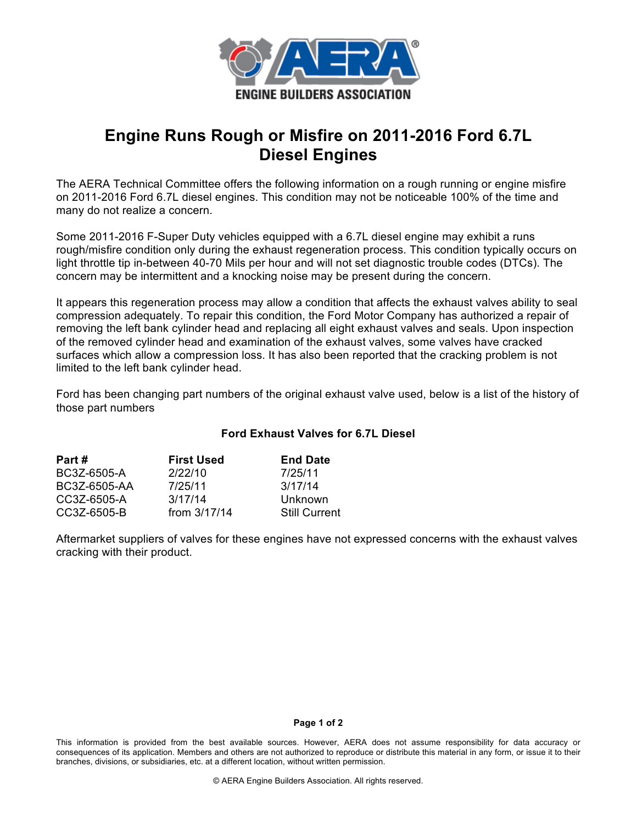

## **Engine Runs Rough or Misfire on 2011-2016 Ford 6.7L Diesel Engines**

The AERA Technical Committee offers the following information on a rough running or engine misfire on 2011-2016 Ford 6.7L diesel engines. This condition may not be noticeable 100% of the time and many do not realize a concern.

Some 2011-2016 F-Super Duty vehicles equipped with a 6.7L diesel engine may exhibit a runs rough/misfire condition only during the exhaust regeneration process. This condition typically occurs on light throttle tip in-between 40-70 Mils per hour and will not set diagnostic trouble codes (DTCs). The concern may be intermittent and a knocking noise may be present during the concern.

It appears this regeneration process may allow a condition that affects the exhaust valves ability to seal compression adequately. To repair this condition, the Ford Motor Company has authorized a repair of removing the left bank cylinder head and replacing all eight exhaust valves and seals. Upon inspection of the removed cylinder head and examination of the exhaust valves, some valves have cracked surfaces which allow a compression loss. It has also been reported that the cracking problem is not limited to the left bank cylinder head.

Ford has been changing part numbers of the original exhaust valve used, below is a list of the history of those part numbers

## **Ford Exhaust Valves for 6.7L Diesel**

| Part #       | <b>First Used</b> | <b>End Date</b>      |
|--------------|-------------------|----------------------|
| BC3Z-6505-A  | 2/22/10           | 7/25/11              |
| BC3Z-6505-AA | 7/25/11           | 3/17/14              |
| CC3Z-6505-A  | 3/17/14           | Unknown              |
| CC3Z-6505-B  | from $3/17/14$    | <b>Still Current</b> |

Aftermarket suppliers of valves for these engines have not expressed concerns with the exhaust valves cracking with their product.

## **Page 1 of 2**

This information is provided from the best available sources. However, AERA does not assume responsibility for data accuracy or consequences of its application. Members and others are not authorized to reproduce or distribute this material in any form, or issue it to their branches, divisions, or subsidiaries, etc. at a different location, without written permission.